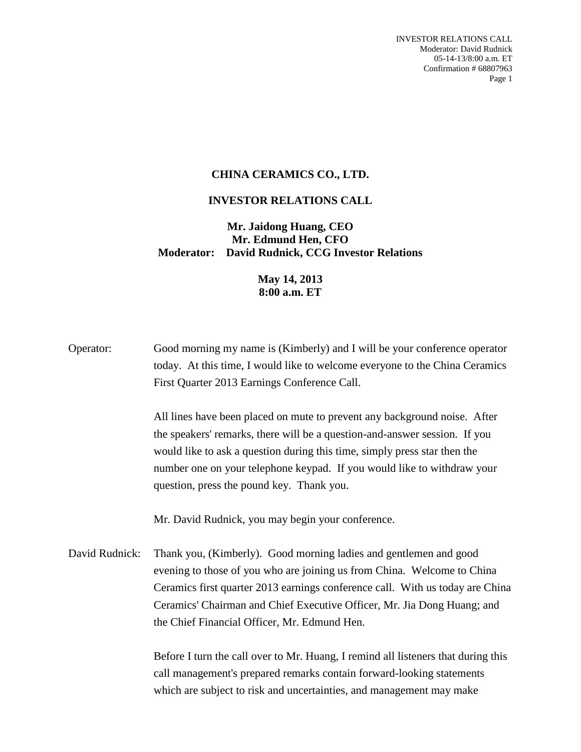INVESTOR RELATIONS CALL Moderator: David Rudnick 05-14-13/8:00 a.m. ET Confirmation # 68807963 Page 1

## **CHINA CERAMICS CO., LTD.**

## **INVESTOR RELATIONS CALL**

## **Mr. Jaidong Huang, CEO Mr. Edmund Hen, CFO Moderator: David Rudnick, CCG Investor Relations**

## **May 14, 2013 8:00 a.m. ET**

Operator: Good morning my name is (Kimberly) and I will be your conference operator today. At this time, I would like to welcome everyone to the China Ceramics First Quarter 2013 Earnings Conference Call.

> All lines have been placed on mute to prevent any background noise. After the speakers' remarks, there will be a question-and-answer session. If you would like to ask a question during this time, simply press star then the number one on your telephone keypad. If you would like to withdraw your question, press the pound key. Thank you.

Mr. David Rudnick, you may begin your conference.

David Rudnick: Thank you, (Kimberly). Good morning ladies and gentlemen and good evening to those of you who are joining us from China. Welcome to China Ceramics first quarter 2013 earnings conference call. With us today are China Ceramics' Chairman and Chief Executive Officer, Mr. Jia Dong Huang; and the Chief Financial Officer, Mr. Edmund Hen.

> Before I turn the call over to Mr. Huang, I remind all listeners that during this call management's prepared remarks contain forward-looking statements which are subject to risk and uncertainties, and management may make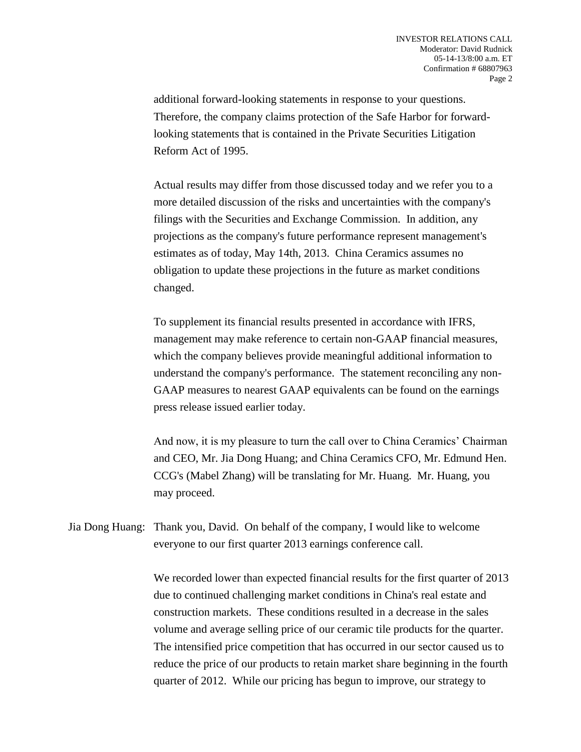additional forward-looking statements in response to your questions. Therefore, the company claims protection of the Safe Harbor for forwardlooking statements that is contained in the Private Securities Litigation Reform Act of 1995.

Actual results may differ from those discussed today and we refer you to a more detailed discussion of the risks and uncertainties with the company's filings with the Securities and Exchange Commission. In addition, any projections as the company's future performance represent management's estimates as of today, May 14th, 2013. China Ceramics assumes no obligation to update these projections in the future as market conditions changed.

To supplement its financial results presented in accordance with IFRS, management may make reference to certain non-GAAP financial measures, which the company believes provide meaningful additional information to understand the company's performance. The statement reconciling any non-GAAP measures to nearest GAAP equivalents can be found on the earnings press release issued earlier today.

And now, it is my pleasure to turn the call over to China Ceramics' Chairman and CEO, Mr. Jia Dong Huang; and China Ceramics CFO, Mr. Edmund Hen. CCG's (Mabel Zhang) will be translating for Mr. Huang. Mr. Huang, you may proceed.

Jia Dong Huang: Thank you, David. On behalf of the company, I would like to welcome everyone to our first quarter 2013 earnings conference call.

> We recorded lower than expected financial results for the first quarter of 2013 due to continued challenging market conditions in China's real estate and construction markets. These conditions resulted in a decrease in the sales volume and average selling price of our ceramic tile products for the quarter. The intensified price competition that has occurred in our sector caused us to reduce the price of our products to retain market share beginning in the fourth quarter of 2012. While our pricing has begun to improve, our strategy to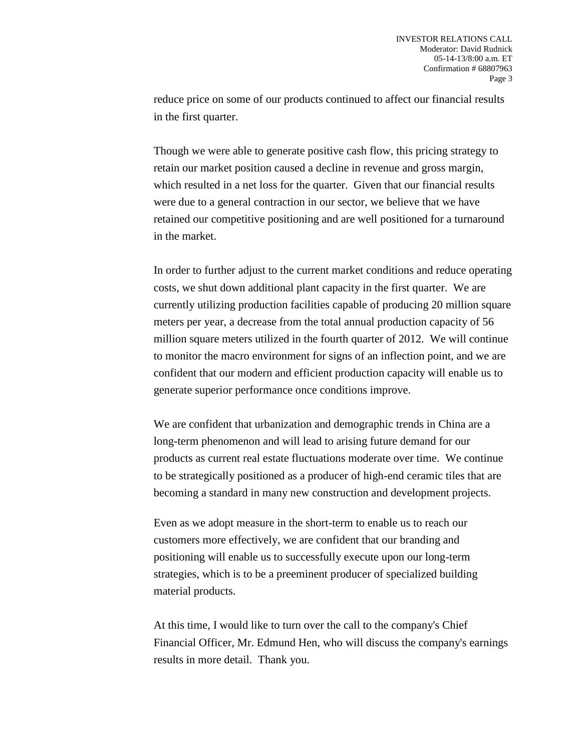reduce price on some of our products continued to affect our financial results in the first quarter.

Though we were able to generate positive cash flow, this pricing strategy to retain our market position caused a decline in revenue and gross margin, which resulted in a net loss for the quarter. Given that our financial results were due to a general contraction in our sector, we believe that we have retained our competitive positioning and are well positioned for a turnaround in the market.

In order to further adjust to the current market conditions and reduce operating costs, we shut down additional plant capacity in the first quarter. We are currently utilizing production facilities capable of producing 20 million square meters per year, a decrease from the total annual production capacity of 56 million square meters utilized in the fourth quarter of 2012. We will continue to monitor the macro environment for signs of an inflection point, and we are confident that our modern and efficient production capacity will enable us to generate superior performance once conditions improve.

We are confident that urbanization and demographic trends in China are a long-term phenomenon and will lead to arising future demand for our products as current real estate fluctuations moderate over time. We continue to be strategically positioned as a producer of high-end ceramic tiles that are becoming a standard in many new construction and development projects.

Even as we adopt measure in the short-term to enable us to reach our customers more effectively, we are confident that our branding and positioning will enable us to successfully execute upon our long-term strategies, which is to be a preeminent producer of specialized building material products.

At this time, I would like to turn over the call to the company's Chief Financial Officer, Mr. Edmund Hen, who will discuss the company's earnings results in more detail. Thank you.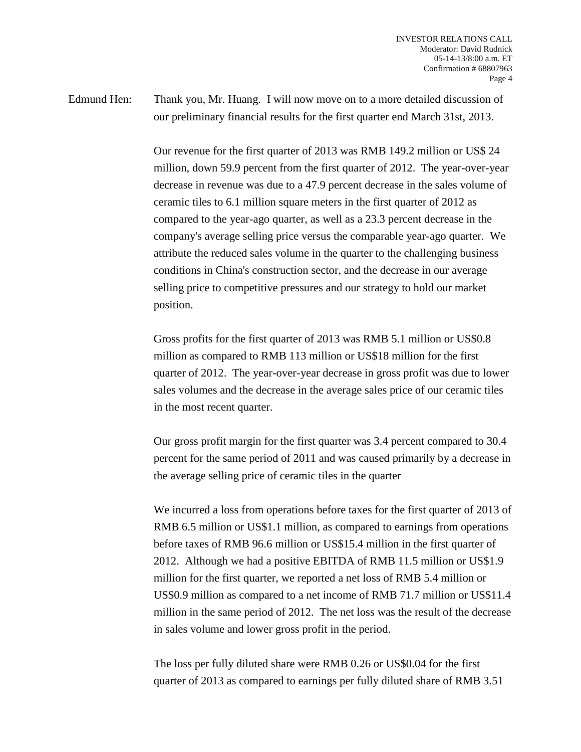Edmund Hen: Thank you, Mr. Huang. I will now move on to a more detailed discussion of our preliminary financial results for the first quarter end March 31st, 2013.

> Our revenue for the first quarter of 2013 was RMB 149.2 million or US\$ 24 million, down 59.9 percent from the first quarter of 2012. The year-over-year decrease in revenue was due to a 47.9 percent decrease in the sales volume of ceramic tiles to 6.1 million square meters in the first quarter of 2012 as compared to the year-ago quarter, as well as a 23.3 percent decrease in the company's average selling price versus the comparable year-ago quarter. We attribute the reduced sales volume in the quarter to the challenging business conditions in China's construction sector, and the decrease in our average selling price to competitive pressures and our strategy to hold our market position.

> Gross profits for the first quarter of 2013 was RMB 5.1 million or US\$0.8 million as compared to RMB 113 million or US\$18 million for the first quarter of 2012. The year-over-year decrease in gross profit was due to lower sales volumes and the decrease in the average sales price of our ceramic tiles in the most recent quarter.

> Our gross profit margin for the first quarter was 3.4 percent compared to 30.4 percent for the same period of 2011 and was caused primarily by a decrease in the average selling price of ceramic tiles in the quarter

> We incurred a loss from operations before taxes for the first quarter of 2013 of RMB 6.5 million or US\$1.1 million, as compared to earnings from operations before taxes of RMB 96.6 million or US\$15.4 million in the first quarter of 2012. Although we had a positive EBITDA of RMB 11.5 million or US\$1.9 million for the first quarter, we reported a net loss of RMB 5.4 million or US\$0.9 million as compared to a net income of RMB 71.7 million or US\$11.4 million in the same period of 2012. The net loss was the result of the decrease in sales volume and lower gross profit in the period.

The loss per fully diluted share were RMB 0.26 or US\$0.04 for the first quarter of 2013 as compared to earnings per fully diluted share of RMB 3.51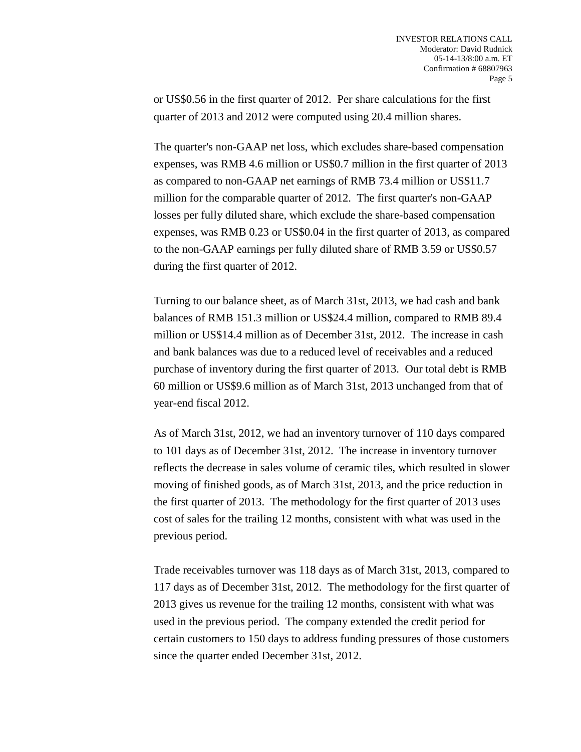or US\$0.56 in the first quarter of 2012. Per share calculations for the first quarter of 2013 and 2012 were computed using 20.4 million shares.

The quarter's non-GAAP net loss, which excludes share-based compensation expenses, was RMB 4.6 million or US\$0.7 million in the first quarter of 2013 as compared to non-GAAP net earnings of RMB 73.4 million or US\$11.7 million for the comparable quarter of 2012. The first quarter's non-GAAP losses per fully diluted share, which exclude the share-based compensation expenses, was RMB 0.23 or US\$0.04 in the first quarter of 2013, as compared to the non-GAAP earnings per fully diluted share of RMB 3.59 or US\$0.57 during the first quarter of 2012.

Turning to our balance sheet, as of March 31st, 2013, we had cash and bank balances of RMB 151.3 million or US\$24.4 million, compared to RMB 89.4 million or US\$14.4 million as of December 31st, 2012. The increase in cash and bank balances was due to a reduced level of receivables and a reduced purchase of inventory during the first quarter of 2013. Our total debt is RMB 60 million or US\$9.6 million as of March 31st, 2013 unchanged from that of year-end fiscal 2012.

As of March 31st, 2012, we had an inventory turnover of 110 days compared to 101 days as of December 31st, 2012. The increase in inventory turnover reflects the decrease in sales volume of ceramic tiles, which resulted in slower moving of finished goods, as of March 31st, 2013, and the price reduction in the first quarter of 2013. The methodology for the first quarter of 2013 uses cost of sales for the trailing 12 months, consistent with what was used in the previous period.

Trade receivables turnover was 118 days as of March 31st, 2013, compared to 117 days as of December 31st, 2012. The methodology for the first quarter of 2013 gives us revenue for the trailing 12 months, consistent with what was used in the previous period. The company extended the credit period for certain customers to 150 days to address funding pressures of those customers since the quarter ended December 31st, 2012.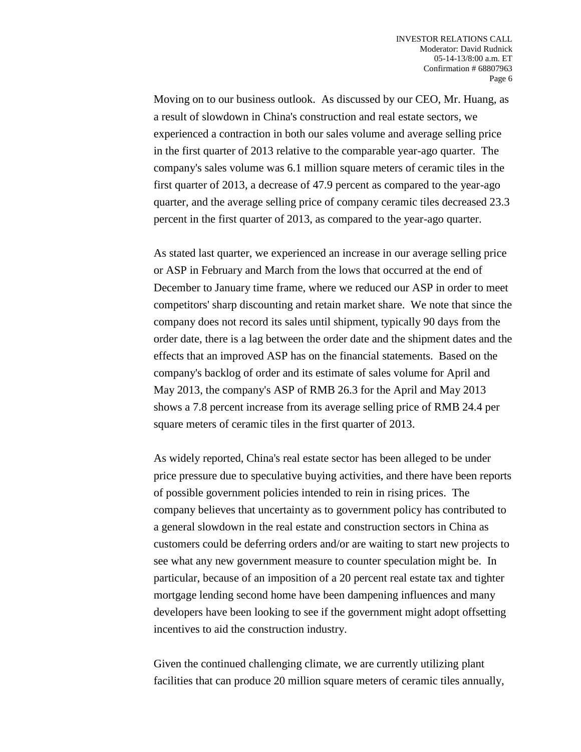Moving on to our business outlook. As discussed by our CEO, Mr. Huang, as a result of slowdown in China's construction and real estate sectors, we experienced a contraction in both our sales volume and average selling price in the first quarter of 2013 relative to the comparable year-ago quarter. The company's sales volume was 6.1 million square meters of ceramic tiles in the first quarter of 2013, a decrease of 47.9 percent as compared to the year-ago quarter, and the average selling price of company ceramic tiles decreased 23.3 percent in the first quarter of 2013, as compared to the year-ago quarter.

As stated last quarter, we experienced an increase in our average selling price or ASP in February and March from the lows that occurred at the end of December to January time frame, where we reduced our ASP in order to meet competitors' sharp discounting and retain market share. We note that since the company does not record its sales until shipment, typically 90 days from the order date, there is a lag between the order date and the shipment dates and the effects that an improved ASP has on the financial statements. Based on the company's backlog of order and its estimate of sales volume for April and May 2013, the company's ASP of RMB 26.3 for the April and May 2013 shows a 7.8 percent increase from its average selling price of RMB 24.4 per square meters of ceramic tiles in the first quarter of 2013.

As widely reported, China's real estate sector has been alleged to be under price pressure due to speculative buying activities, and there have been reports of possible government policies intended to rein in rising prices. The company believes that uncertainty as to government policy has contributed to a general slowdown in the real estate and construction sectors in China as customers could be deferring orders and/or are waiting to start new projects to see what any new government measure to counter speculation might be. In particular, because of an imposition of a 20 percent real estate tax and tighter mortgage lending second home have been dampening influences and many developers have been looking to see if the government might adopt offsetting incentives to aid the construction industry.

Given the continued challenging climate, we are currently utilizing plant facilities that can produce 20 million square meters of ceramic tiles annually,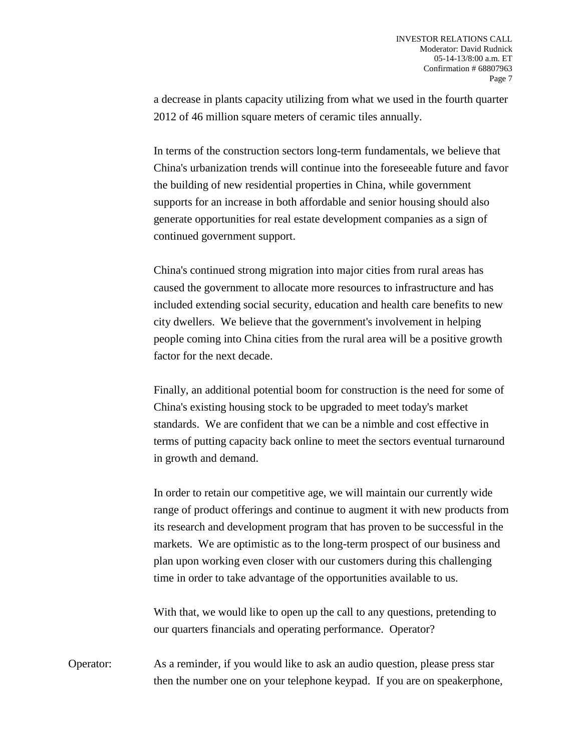a decrease in plants capacity utilizing from what we used in the fourth quarter 2012 of 46 million square meters of ceramic tiles annually.

In terms of the construction sectors long-term fundamentals, we believe that China's urbanization trends will continue into the foreseeable future and favor the building of new residential properties in China, while government supports for an increase in both affordable and senior housing should also generate opportunities for real estate development companies as a sign of continued government support.

China's continued strong migration into major cities from rural areas has caused the government to allocate more resources to infrastructure and has included extending social security, education and health care benefits to new city dwellers. We believe that the government's involvement in helping people coming into China cities from the rural area will be a positive growth factor for the next decade.

Finally, an additional potential boom for construction is the need for some of China's existing housing stock to be upgraded to meet today's market standards. We are confident that we can be a nimble and cost effective in terms of putting capacity back online to meet the sectors eventual turnaround in growth and demand.

In order to retain our competitive age, we will maintain our currently wide range of product offerings and continue to augment it with new products from its research and development program that has proven to be successful in the markets. We are optimistic as to the long-term prospect of our business and plan upon working even closer with our customers during this challenging time in order to take advantage of the opportunities available to us.

With that, we would like to open up the call to any questions, pretending to our quarters financials and operating performance. Operator?

Operator: As a reminder, if you would like to ask an audio question, please press star then the number one on your telephone keypad. If you are on speakerphone,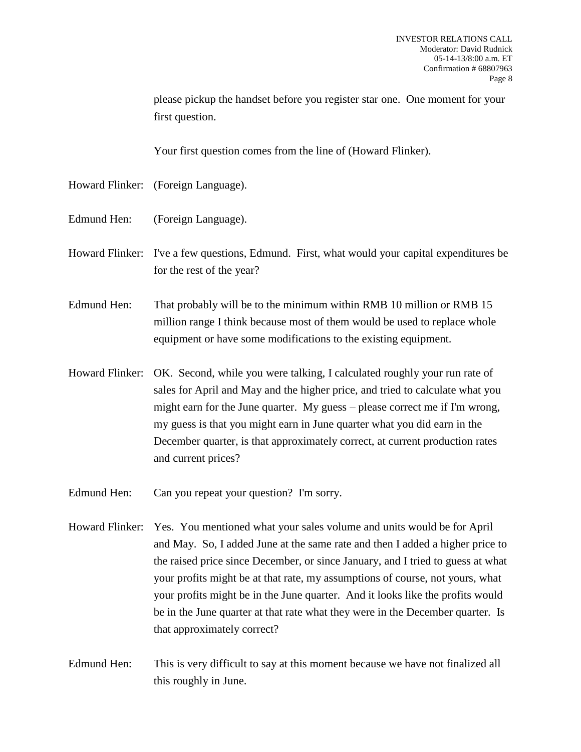please pickup the handset before you register star one. One moment for your first question.

Your first question comes from the line of (Howard Flinker).

- Howard Flinker: (Foreign Language).
- Edmund Hen: (Foreign Language).
- Howard Flinker: I've a few questions, Edmund. First, what would your capital expenditures be for the rest of the year?
- Edmund Hen: That probably will be to the minimum within RMB 10 million or RMB 15 million range I think because most of them would be used to replace whole equipment or have some modifications to the existing equipment.
- Howard Flinker: OK. Second, while you were talking, I calculated roughly your run rate of sales for April and May and the higher price, and tried to calculate what you might earn for the June quarter. My guess – please correct me if I'm wrong, my guess is that you might earn in June quarter what you did earn in the December quarter, is that approximately correct, at current production rates and current prices?
- Edmund Hen: Can you repeat your question? I'm sorry.
- Howard Flinker: Yes. You mentioned what your sales volume and units would be for April and May. So, I added June at the same rate and then I added a higher price to the raised price since December, or since January, and I tried to guess at what your profits might be at that rate, my assumptions of course, not yours, what your profits might be in the June quarter. And it looks like the profits would be in the June quarter at that rate what they were in the December quarter. Is that approximately correct?
- Edmund Hen: This is very difficult to say at this moment because we have not finalized all this roughly in June.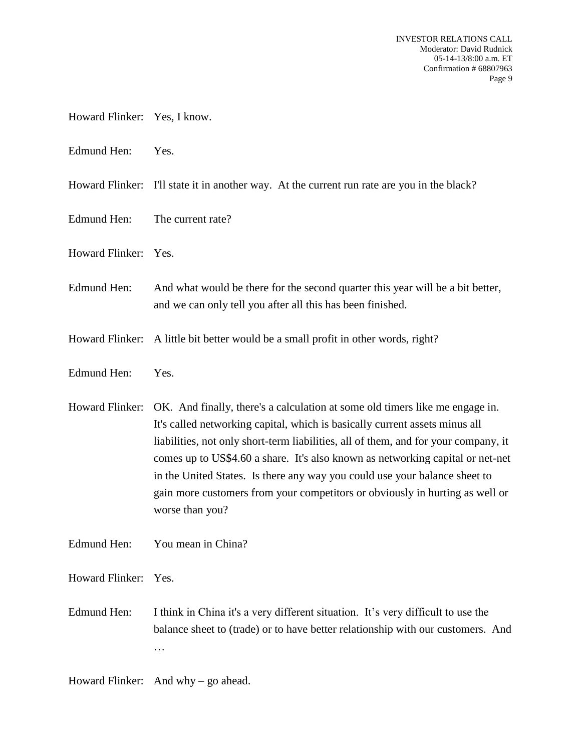- Howard Flinker: Yes, I know.
- Edmund Hen: Yes.
- Howard Flinker: I'll state it in another way. At the current run rate are you in the black?
- Edmund Hen: The current rate?
- Howard Flinker: Yes.
- Edmund Hen: And what would be there for the second quarter this year will be a bit better, and we can only tell you after all this has been finished.
- Howard Flinker: A little bit better would be a small profit in other words, right?
- Edmund Hen: Yes.
- Howard Flinker: OK. And finally, there's a calculation at some old timers like me engage in. It's called networking capital, which is basically current assets minus all liabilities, not only short-term liabilities, all of them, and for your company, it comes up to US\$4.60 a share. It's also known as networking capital or net-net in the United States. Is there any way you could use your balance sheet to gain more customers from your competitors or obviously in hurting as well or worse than you?
- Edmund Hen: You mean in China?

Howard Flinker: Yes.

Edmund Hen: I think in China it's a very different situation. It's very difficult to use the balance sheet to (trade) or to have better relationship with our customers. And …

Howard Flinker: And why – go ahead.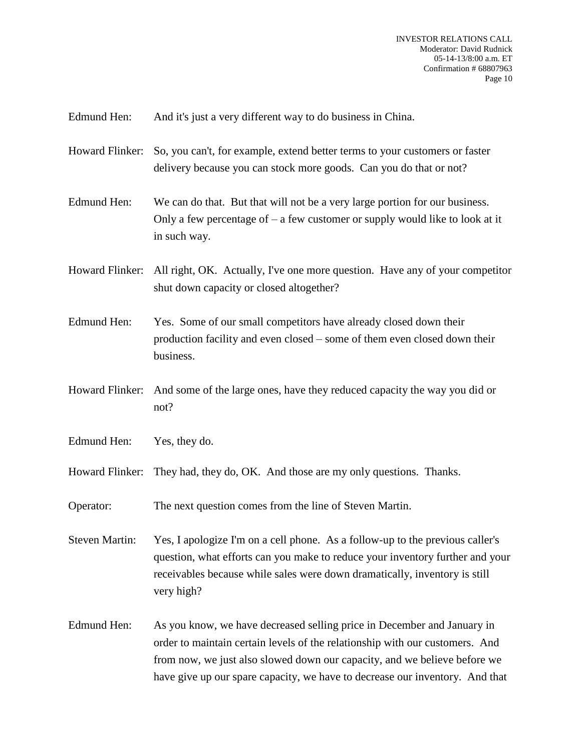Edmund Hen: And it's just a very different way to do business in China.

- Howard Flinker: So, you can't, for example, extend better terms to your customers or faster delivery because you can stock more goods. Can you do that or not?
- Edmund Hen: We can do that. But that will not be a very large portion for our business. Only a few percentage of  $-$  a few customer or supply would like to look at it in such way.
- Howard Flinker: All right, OK. Actually, I've one more question. Have any of your competitor shut down capacity or closed altogether?
- Edmund Hen: Yes. Some of our small competitors have already closed down their production facility and even closed – some of them even closed down their business.
- Howard Flinker: And some of the large ones, have they reduced capacity the way you did or not?
- Edmund Hen: Yes, they do.
- Howard Flinker: They had, they do, OK. And those are my only questions. Thanks.
- Operator: The next question comes from the line of Steven Martin.

Steven Martin: Yes, I apologize I'm on a cell phone. As a follow-up to the previous caller's question, what efforts can you make to reduce your inventory further and your receivables because while sales were down dramatically, inventory is still very high?

Edmund Hen: As you know, we have decreased selling price in December and January in order to maintain certain levels of the relationship with our customers. And from now, we just also slowed down our capacity, and we believe before we have give up our spare capacity, we have to decrease our inventory. And that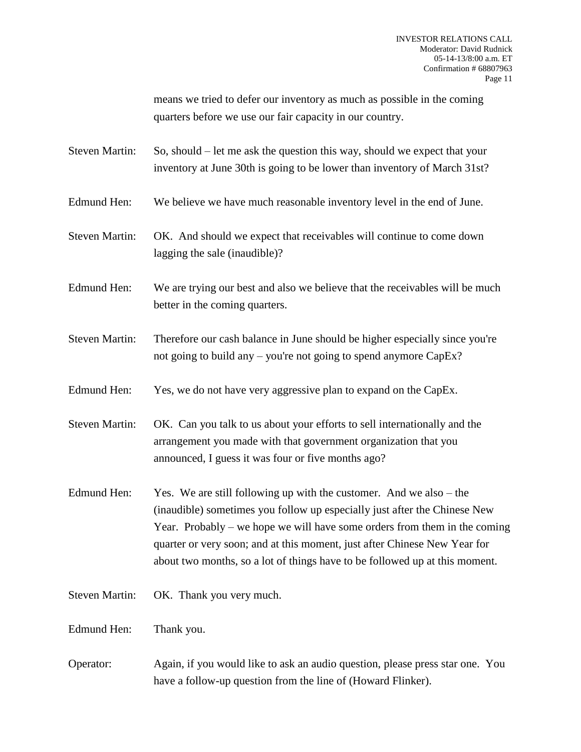means we tried to defer our inventory as much as possible in the coming quarters before we use our fair capacity in our country.

Steven Martin: So, should – let me ask the question this way, should we expect that your inventory at June 30th is going to be lower than inventory of March 31st?

- Edmund Hen: We believe we have much reasonable inventory level in the end of June.
- Steven Martin: OK. And should we expect that receivables will continue to come down lagging the sale (inaudible)?
- Edmund Hen: We are trying our best and also we believe that the receivables will be much better in the coming quarters.
- Steven Martin: Therefore our cash balance in June should be higher especially since you're not going to build any – you're not going to spend anymore CapEx?
- Edmund Hen: Yes, we do not have very aggressive plan to expand on the CapEx.
- Steven Martin: OK. Can you talk to us about your efforts to sell internationally and the arrangement you made with that government organization that you announced, I guess it was four or five months ago?
- Edmund Hen: Yes. We are still following up with the customer. And we also the (inaudible) sometimes you follow up especially just after the Chinese New Year. Probably – we hope we will have some orders from them in the coming quarter or very soon; and at this moment, just after Chinese New Year for about two months, so a lot of things have to be followed up at this moment.
- Steven Martin: OK. Thank you very much.

Edmund Hen: Thank you.

Operator: Again, if you would like to ask an audio question, please press star one. You have a follow-up question from the line of (Howard Flinker).